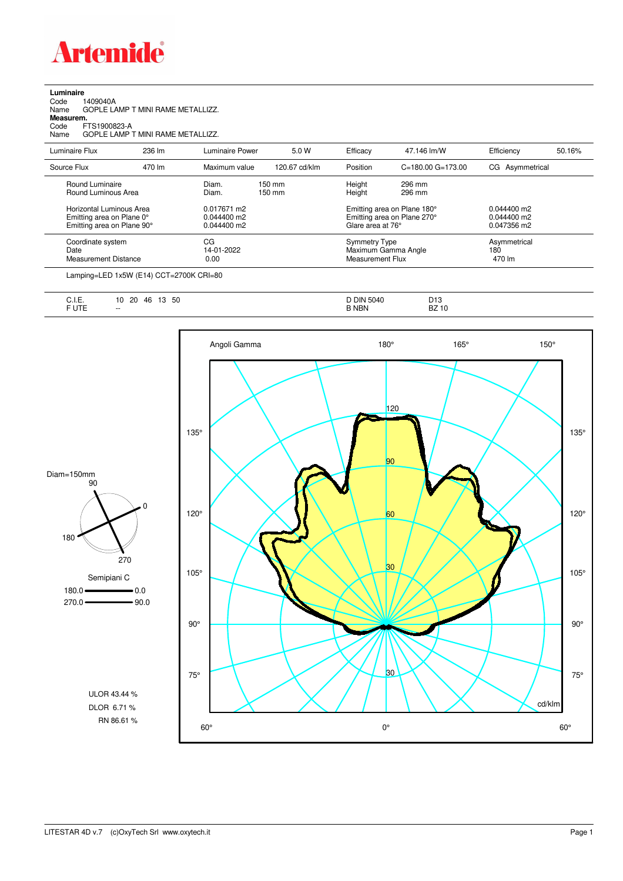

| Luminaire<br>1409040A<br>Code<br>Name<br>Measurem.<br>FTS1900823-A<br>Code<br>Name  | GOPLE LAMP T MINI RAME METALLIZZ.<br>GOPLE LAMP T MINI RAME METALLIZZ. |                                             |                            |                                          |                                                            |                                               |        |
|-------------------------------------------------------------------------------------|------------------------------------------------------------------------|---------------------------------------------|----------------------------|------------------------------------------|------------------------------------------------------------|-----------------------------------------------|--------|
| Luminaire Flux                                                                      | 236 lm                                                                 | Luminaire Power                             | 5.0 W                      | Efficacy                                 | 47.146 lm/W                                                | Efficiency                                    | 50.16% |
| Source Flux                                                                         | 470 lm                                                                 | Maximum value                               | 120.67 cd/klm              | Position                                 | $C = 180.00$ $G = 173.00$                                  | CG Asymmetrical                               |        |
| Round Luminaire<br>Round Luminous Area                                              |                                                                        | Diam.<br>Diam.                              | $150 \text{ mm}$<br>150 mm | Height<br>Height                         | 296 mm<br>296 mm                                           |                                               |        |
| Horizontal Luminous Area<br>Emitting area on Plane 0°<br>Emitting area on Plane 90° |                                                                        | 0.017671 m2<br>$0.044400$ m2<br>0.044400 m2 |                            | Glare area at 76°                        | Emitting area on Plane 180°<br>Emitting area on Plane 270° | $0.044400$ m2<br>$0.044400$ m2<br>0.047356 m2 |        |
| Coordinate system<br>Date<br><b>Measurement Distance</b>                            |                                                                        | CG<br>14-01-2022<br>0.00                    |                            | <b>Symmetry Type</b><br>Measurement Flux | Maximum Gamma Angle                                        | Asymmetrical<br>180<br>470 lm                 |        |

Lamping=LED 1x5W (E14) CCT=2700K CRI=80